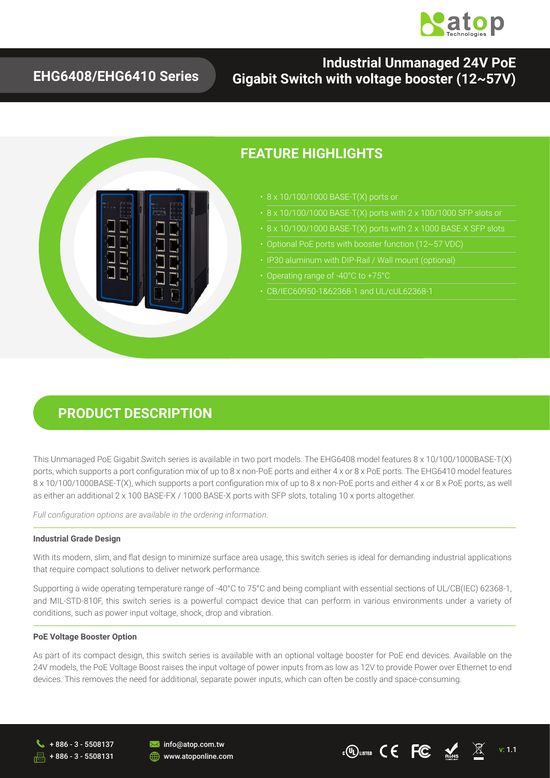

## **EHG6408/EHG6410 Series**

## **Industrial Unmanaged 24V PoE Gigabit Switch with voltage booster (12~57V)**



### **FEATURE HIGHLIGHTS**

- 
- 
- 
- 
- 
- Operating range of -40°C to +75°C
- CB/IEC60950-1&62368-1 and UL/cUL62368-1

## **PRODUCT DESCRIPTION**

This Unmanaged PoE Gigabit Switch series is available in two port models. The EHG6408 model features 8 x 10/100/1000BASE-T(X) ports, which supports a port configuration mix of up to 8 x non-PoE ports and either 4 x or 8 x PoE ports. The EHG6410 model features 8 x 10/100/1000BASE-T(X), which supports a port configuration mix of up to 8 x non-PoE ports and either 4 x or 8 x PoE ports, as well as either an additional 2 x 100 BASE-FX / 1000 BASE-X ports with SFP slots, totaling 10 x ports altogether.

*Full configuration options are available in the ordering information.*

#### **Industrial Grade Design**

 With its modern, slim, and flat design to minimize surface area usage, this switch series is ideal for demanding industrial applications that require compact solutions to deliver network performance.

Supporting a wide operating temperature range of -40°C to 75°C and being compliant with essential sections of UL/CB(IEC) 62368-1, and MIL-STD-810F, this switch series is a powerful compact device that can perform in various environments under a variety of conditions, such as power input voltage, shock, drop and vibration.

#### **PoE Voltage Booster Option**

As part of its compact design, this switch series is available with an optional voltage booster for PoE end devices. Available on the 24V models, the PoE Voltage Boost raises the input voltage of power inputs from as low as 12V to provide Power over Ethernet to end devices. This removes the need for additional, separate power inputs, which can often be costly and space-consuming.

+ 886 - 3 - 5508131



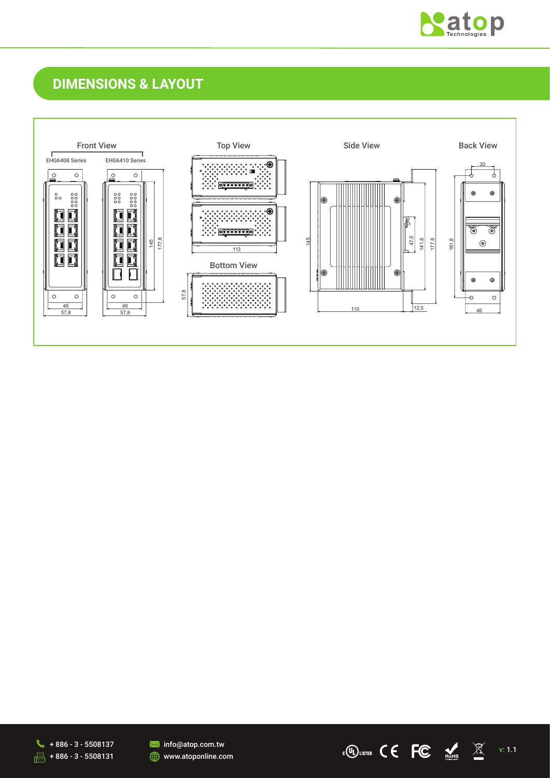

## **DIMENSIONS & LAYOUT**







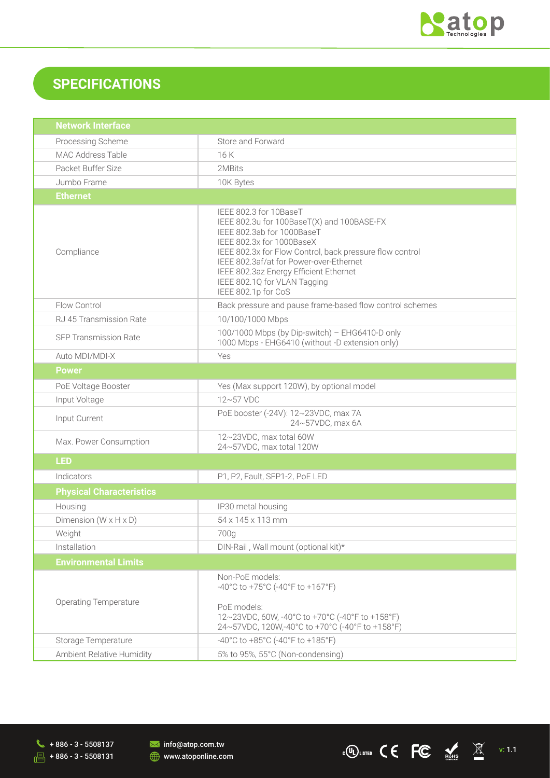

## **SPECIFICATIONS**

| <b>Network Interface</b>          |                                                                                                                                                                                                                                                                                                                                         |  |  |
|-----------------------------------|-----------------------------------------------------------------------------------------------------------------------------------------------------------------------------------------------------------------------------------------------------------------------------------------------------------------------------------------|--|--|
| Processing Scheme                 | Store and Forward                                                                                                                                                                                                                                                                                                                       |  |  |
| MAC Address Table                 | 16K                                                                                                                                                                                                                                                                                                                                     |  |  |
| Packet Buffer Size                | 2MBits                                                                                                                                                                                                                                                                                                                                  |  |  |
| Jumbo Frame                       | 10K Bytes                                                                                                                                                                                                                                                                                                                               |  |  |
| <b>Ethernet</b>                   |                                                                                                                                                                                                                                                                                                                                         |  |  |
| Compliance                        | IEEE 802.3 for 10BaseT<br>IEEE 802.3u for 100BaseT(X) and 100BASE-FX<br>IEEE 802.3ab for 1000BaseT<br>IEEE 802.3x for 1000BaseX<br>IEEE 802.3x for Flow Control, back pressure flow control<br>IEEE 802.3af/at for Power-over-Ethernet<br>IEEE 802.3az Energy Efficient Ethernet<br>IEEE 802.1Q for VLAN Tagging<br>IEEE 802.1p for CoS |  |  |
| Flow Control                      | Back pressure and pause frame-based flow control schemes                                                                                                                                                                                                                                                                                |  |  |
| RJ 45 Transmission Rate           | 10/100/1000 Mbps                                                                                                                                                                                                                                                                                                                        |  |  |
| <b>SFP Transmission Rate</b>      | 100/1000 Mbps (by Dip-switch) - EHG6410-D only<br>1000 Mbps - EHG6410 (without -D extension only)                                                                                                                                                                                                                                       |  |  |
| Auto MDI/MDI-X                    | Yes                                                                                                                                                                                                                                                                                                                                     |  |  |
| <b>Power</b>                      |                                                                                                                                                                                                                                                                                                                                         |  |  |
| PoE Voltage Booster               | Yes (Max support 120W), by optional model                                                                                                                                                                                                                                                                                               |  |  |
| Input Voltage                     | 12~57 VDC                                                                                                                                                                                                                                                                                                                               |  |  |
| Input Current                     | PoE booster (-24V): 12~23VDC, max 7A<br>24~57VDC, max 6A                                                                                                                                                                                                                                                                                |  |  |
| Max. Power Consumption            | 12~23VDC, max total 60W<br>24~57VDC, max total 120W                                                                                                                                                                                                                                                                                     |  |  |
| <b>LED</b>                        |                                                                                                                                                                                                                                                                                                                                         |  |  |
| Indicators                        | P1, P2, Fault, SFP1-2, PoE LED                                                                                                                                                                                                                                                                                                          |  |  |
| <b>Physical Characteristics</b>   |                                                                                                                                                                                                                                                                                                                                         |  |  |
| Housing                           | IP30 metal housing                                                                                                                                                                                                                                                                                                                      |  |  |
| Dimension $(W \times H \times D)$ | 54 x 145 x 113 mm                                                                                                                                                                                                                                                                                                                       |  |  |
| Weight                            | 700g                                                                                                                                                                                                                                                                                                                                    |  |  |
| Installation                      | DIN-Rail, Wall mount (optional kit)*                                                                                                                                                                                                                                                                                                    |  |  |
| <b>Environmental Limits</b>       |                                                                                                                                                                                                                                                                                                                                         |  |  |
| <b>Operating Temperature</b>      | Non-PoE models:<br>-40°C to +75°C (-40°F to +167°F)<br>PoE models:<br>12~23VDC, 60W, -40°C to +70°C (-40°F to +158°F)<br>24~57VDC, 120W,-40°C to +70°C (-40°F to +158°F)                                                                                                                                                                |  |  |
| Storage Temperature               | -40°C to +85°C (-40°F to +185°F)                                                                                                                                                                                                                                                                                                        |  |  |
| Ambient Relative Humidity         | 5% to 95%, 55°C (Non-condensing)                                                                                                                                                                                                                                                                                                        |  |  |

info@atop.com.tw **WWW.atoponline.com** 

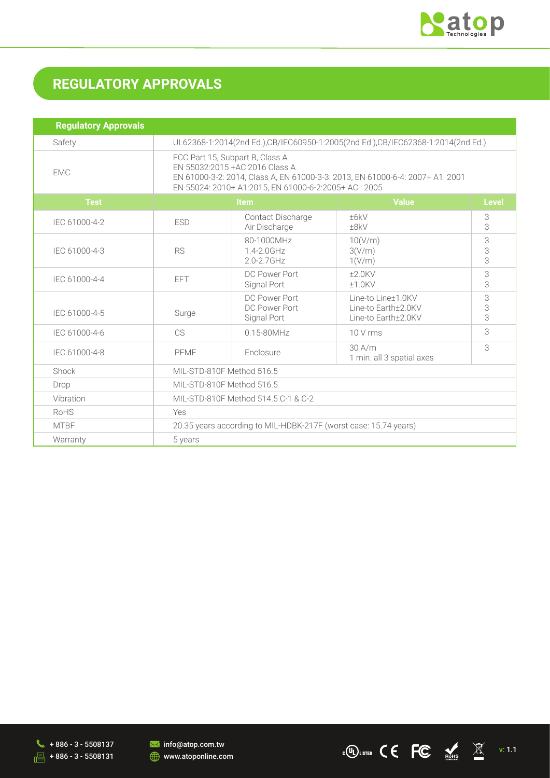

# **REGULATORY APPROVALS**

| <b>Regulatory Approvals</b> |                                                                                                                                                                                                              |                                               |                                                                  |              |
|-----------------------------|--------------------------------------------------------------------------------------------------------------------------------------------------------------------------------------------------------------|-----------------------------------------------|------------------------------------------------------------------|--------------|
| Safety                      | UL62368-1:2014(2nd Ed.),CB/IEC60950-1:2005(2nd Ed.),CB/IEC62368-1:2014(2nd Ed.)                                                                                                                              |                                               |                                                                  |              |
| <b>EMC</b>                  | FCC Part 15, Subpart B, Class A<br>EN 55032:2015 + AC: 2016 Class A<br>EN 61000-3-2: 2014, Class A, EN 61000-3-3: 2013, EN 61000-6-4: 2007+ A1: 2001<br>EN 55024: 2010+ A1:2015, EN 61000-6-2:2005+ AC: 2005 |                                               |                                                                  |              |
| <b>Test</b>                 | <b>Item</b>                                                                                                                                                                                                  |                                               | <b>Value</b>                                                     | <b>Level</b> |
| IEC 61000-4-2               | <b>ESD</b>                                                                                                                                                                                                   | <b>Contact Discharge</b><br>Air Discharge     | ±6kV<br>±8kV                                                     | 3<br>3       |
| IEC 61000-4-3               | <b>RS</b>                                                                                                                                                                                                    | 80-1000MHz<br>1.4-2.0GHz<br>$2.0 - 2.7$ GHz   | 10(V/m)<br>3(V/m)<br>1(V/m)                                      | 3<br>3<br>3  |
| IEC 61000-4-4               | <b>EFT</b>                                                                                                                                                                                                   | DC Power Port<br>Signal Port                  | $+2.0$ KV<br>$±1.0$ KV                                           | 3<br>3       |
| IEC 61000-4-5               | Surge                                                                                                                                                                                                        | DC Power Port<br>DC Power Port<br>Signal Port | Line-to Line±1.0KV<br>Line-to Earth+2.0KV<br>Line-to Earth±2.0KV | 3<br>3<br>3  |
| IEC 61000-4-6               | CS                                                                                                                                                                                                           | $0.15 - 80$ MHz                               | 10 V rms                                                         | 3            |
| IEC 61000-4-8               | PFMF                                                                                                                                                                                                         | Enclosure                                     | 30 A/m<br>1 min. all 3 spatial axes                              | 3            |
| Shock                       | MIL-STD-810F Method 516.5                                                                                                                                                                                    |                                               |                                                                  |              |
| Drop                        | MIL-STD-810F Method 516.5                                                                                                                                                                                    |                                               |                                                                  |              |
| Vibration                   | MIL-STD-810F Method 514.5 C-1 & C-2                                                                                                                                                                          |                                               |                                                                  |              |
| RoHS                        | Yes                                                                                                                                                                                                          |                                               |                                                                  |              |
| <b>MTBF</b>                 | 20.35 years according to MIL-HDBK-217F (worst case: 15.74 years)                                                                                                                                             |                                               |                                                                  |              |
| Warranty                    | 5 years                                                                                                                                                                                                      |                                               |                                                                  |              |

 $\begin{array}{ccccc} \bullet & +886-3-5508137 & \bullet & \bullet & \bullet & \bullet & \bullet & \bullet \end{array}$  info@atop.com.tw<br>-- 1.1 + 886-3-5508131 + 386-3-5508131 + 30 www.atoponline.com  $\sqrt{2}$  + 886 - 3 - 5508131